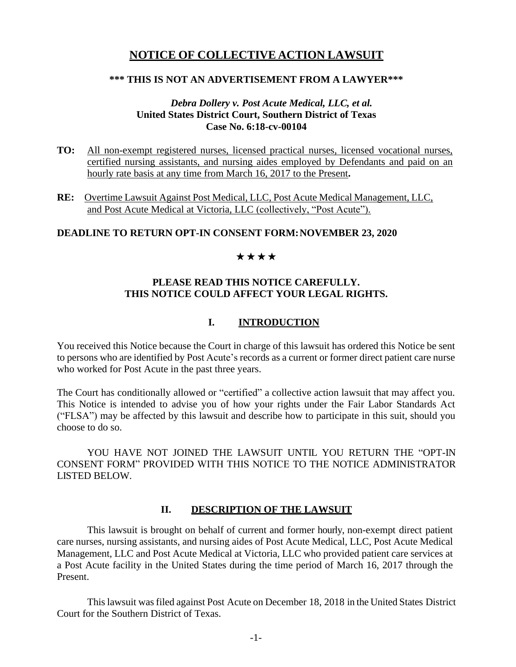# **NOTICE OF COLLECTIVE ACTION LAWSUIT**

## **\*\*\* THIS IS NOT AN ADVERTISEMENT FROM A LAWYER\*\*\***

# *Debra Dollery v. Post Acute Medical, LLC, et al.* **United States District Court, Southern District of Texas Case No. 6:18-cv-00104**

- **TO:** All non-exempt registered nurses, licensed practical nurses, licensed vocational nurses, certified nursing assistants, and nursing aides employed by Defendants and paid on an hourly rate basis at any time from March 16, 2017 to the Present**.**
- **RE:** Overtime Lawsuit Against Post Medical, LLC, Post Acute Medical Management, LLC, and Post Acute Medical at Victoria, LLC (collectively, "Post Acute").

## **DEADLINE TO RETURN OPT-IN CONSENT FORM:NOVEMBER 23, 2020**

## \*\*\*\*

# **PLEASE READ THIS NOTICE CAREFULLY. THIS NOTICE COULD AFFECT YOUR LEGAL RIGHTS.**

# **I. INTRODUCTION**

You received this Notice because the Court in charge of this lawsuit has ordered this Notice be sent to persons who are identified by Post Acute's records as a current or former direct patient care nurse who worked for Post Acute in the past three years.

The Court has conditionally allowed or "certified" a collective action lawsuit that may affect you. This Notice is intended to advise you of how your rights under the Fair Labor Standards Act ("FLSA") may be affected by this lawsuit and describe how to participate in this suit, should you choose to do so.

YOU HAVE NOT JOINED THE LAWSUIT UNTIL YOU RETURN THE "OPT-IN CONSENT FORM" PROVIDED WITH THIS NOTICE TO THE NOTICE ADMINISTRATOR LISTED BELOW.

# **II. DESCRIPTION OF THE LAWSUIT**

This lawsuit is brought on behalf of current and former hourly, non-exempt direct patient care nurses, nursing assistants, and nursing aides of Post Acute Medical, LLC, Post Acute Medical Management, LLC and Post Acute Medical at Victoria, LLC who provided patient care services at a Post Acute facility in the United States during the time period of March 16, 2017 through the Present.

Thislawsuit wasfiled against Post Acute on December 18, 2018 in the United States District Court for the Southern District of Texas.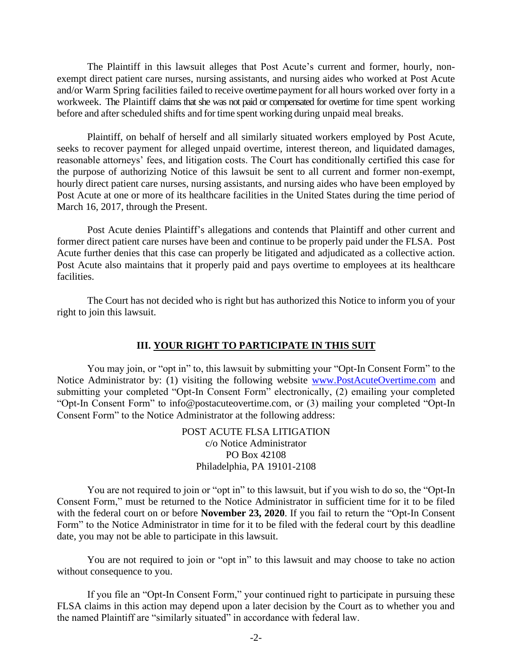The Plaintiff in this lawsuit alleges that Post Acute's current and former, hourly, nonexempt direct patient care nurses, nursing assistants, and nursing aides who worked at Post Acute and/or Warm Spring facilities failed to receive overtime payment for all hours worked over forty in a workweek. The Plaintiff claims that she was not paid or compensated for overtime for time spent working before and after scheduled shifts and for time spent working during unpaid meal breaks.

Plaintiff, on behalf of herself and all similarly situated workers employed by Post Acute, seeks to recover payment for alleged unpaid overtime, interest thereon, and liquidated damages, reasonable attorneys' fees, and litigation costs. The Court has conditionally certified this case for the purpose of authorizing Notice of this lawsuit be sent to all current and former non-exempt, hourly direct patient care nurses, nursing assistants, and nursing aides who have been employed by Post Acute at one or more of its healthcare facilities in the United States during the time period of March 16, 2017, through the Present.

Post Acute denies Plaintiff's allegations and contends that Plaintiff and other current and former direct patient care nurses have been and continue to be properly paid under the FLSA. Post Acute further denies that this case can properly be litigated and adjudicated as a collective action. Post Acute also maintains that it properly paid and pays overtime to employees at its healthcare facilities.

The Court has not decided who is right but has authorized this Notice to inform you of your right to join this lawsuit.

#### **III. YOUR RIGHT TO PARTICIPATE IN THIS SUIT**

You may join, or "opt in" to, this lawsuit by submitting your "Opt-In Consent Form" to the Notice Administrator by: (1) visiting the following website [www.PostAcuteOvertime.com](http://www.postacuteovertime.com/) and submitting your completed "Opt-In Consent Form" electronically, (2) emailing your completed "Opt-In Consent Form" to info@postacuteovertime.com, or (3) mailing your completed "Opt-In Consent Form" to the Notice Administrator at the following address:

> POST ACUTE FLSA LITIGATION c/o Notice Administrator PO Box 42108 Philadelphia, PA 19101-2108

You are not required to join or "opt in" to this lawsuit, but if you wish to do so, the "Opt-In Consent Form," must be returned to the Notice Administrator in sufficient time for it to be filed with the federal court on or before **November 23, 2020**. If you fail to return the "Opt-In Consent Form" to the Notice Administrator in time for it to be filed with the federal court by this deadline date, you may not be able to participate in this lawsuit.

You are not required to join or "opt in" to this lawsuit and may choose to take no action without consequence to you.

If you file an "Opt-In Consent Form," your continued right to participate in pursuing these FLSA claims in this action may depend upon a later decision by the Court as to whether you and the named Plaintiff are "similarly situated" in accordance with federal law.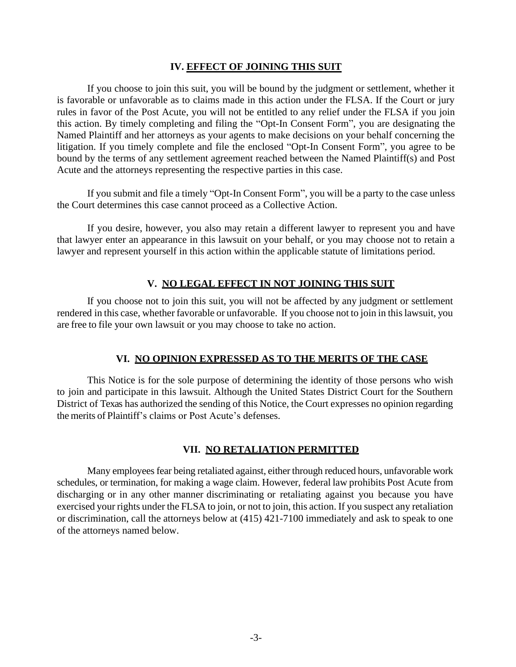## **IV. EFFECT OF JOINING THIS SUIT**

If you choose to join this suit, you will be bound by the judgment or settlement, whether it is favorable or unfavorable as to claims made in this action under the FLSA. If the Court or jury rules in favor of the Post Acute, you will not be entitled to any relief under the FLSA if you join this action. By timely completing and filing the "Opt-In Consent Form", you are designating the Named Plaintiff and her attorneys as your agents to make decisions on your behalf concerning the litigation. If you timely complete and file the enclosed "Opt-In Consent Form", you agree to be bound by the terms of any settlement agreement reached between the Named Plaintiff(s) and Post Acute and the attorneys representing the respective parties in this case.

If you submit and file a timely "Opt-In Consent Form", you will be a party to the case unless the Court determines this case cannot proceed as a Collective Action.

If you desire, however, you also may retain a different lawyer to represent you and have that lawyer enter an appearance in this lawsuit on your behalf, or you may choose not to retain a lawyer and represent yourself in this action within the applicable statute of limitations period.

## **V. NO LEGAL EFFECT IN NOT JOINING THIS SUIT**

If you choose not to join this suit, you will not be affected by any judgment or settlement rendered in this case, whether favorable or unfavorable. If you choose not to join in thislawsuit, you are free to file your own lawsuit or you may choose to take no action.

# **VI. NO OPINION EXPRESSED AS TO THE MERITS OF THE CASE**

This Notice is for the sole purpose of determining the identity of those persons who wish to join and participate in this lawsuit. Although the United States District Court for the Southern District of Texas has authorized the sending of this Notice, the Court expresses no opinion regarding the merits of Plaintiff's claims or Post Acute's defenses.

#### **VII. NO RETALIATION PERMITTED**

Many employees fear being retaliated against, either through reduced hours, unfavorable work schedules, or termination, for making a wage claim. However, federal law prohibits Post Acute from discharging or in any other manner discriminating or retaliating against you because you have exercised your rights under the FLSA to join, or not to join, this action. If you suspect any retaliation or discrimination, call the attorneys below at (415) 421-7100 immediately and ask to speak to one of the attorneys named below.